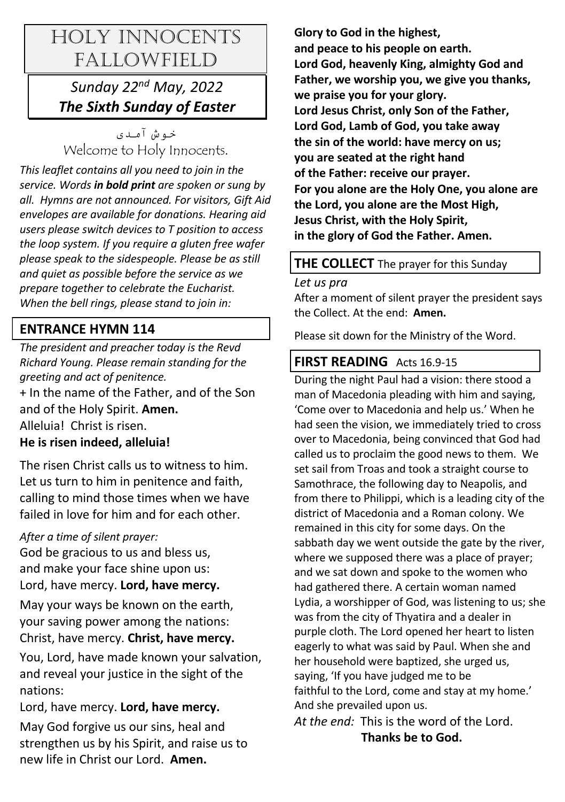# HOLY INNOCENTS FALLOWFIELD

## *Sunday 22nd May, 2022 The Sixth Sunday of Easter*

خه ش آمدی Welcome to Holy Innocents.

*This leaflet contains all you need to join in the service. Words in bold print are spoken or sung by all. Hymns are not announced. For visitors, Gift Aid envelopes are available for donations. Hearing aid users please switch devices to T position to access the loop system. If you require a gluten free wafer please speak to the sidespeople. Please be as still and quiet as possible before the service as we prepare together to celebrate the Eucharist. When the bell rings, please stand to join in:* 

## **ENTRANCE HYMN 114**

*The president and preacher today is the Revd Richard Young. Please remain standing for the greeting and act of penitence.* 

+ In the name of the Father, and of the Son and of the Holy Spirit. **Amen.** Alleluia! Christ is risen.

## **He is risen indeed, alleluia!**

The risen Christ calls us to witness to him. Let us turn to him in penitence and faith, calling to mind those times when we have failed in love for him and for each other.

## *After a time of silent prayer:*

God be gracious to us and bless us, and make your face shine upon us: Lord, have mercy. **Lord, have mercy.**

May your ways be known on the earth, your saving power among the nations: Christ, have mercy. **Christ, have mercy.**

You, Lord, have made known your salvation, and reveal your justice in the sight of the nations:

Lord, have mercy. **Lord, have mercy.**

May God forgive us our sins, heal and strengthen us by his Spirit, and raise us to new life in Christ our Lord. **Amen.**

**Glory to God in the highest, and peace to his people on earth. Lord God, heavenly King, almighty God and Father, we worship you, we give you thanks, we praise you for your glory. Lord Jesus Christ, only Son of the Father, Lord God, Lamb of God, you take away the sin of the world: have mercy on us; you are seated at the right hand of the Father: receive our prayer. For you alone are the Holy One, you alone are the Lord, you alone are the Most High, Jesus Christ, with the Holy Spirit, in the glory of God the Father. Amen.**

## **THE COLLECT** The prayer for this Sunday

*Let us pra*

After a moment of silent prayer the president says the Collect. At the end: **Amen.**

Please sit down for the Ministry of the Word.

## **FIRST READING** Acts 16.9-15

During the night Paul had a vision: there stood a man of Macedonia pleading with him and saying, 'Come over to Macedonia and help us.' When he had seen the vision, we immediately tried to cross over to Macedonia, being convinced that God had called us to proclaim the good news to them. We set sail from Troas and took a straight course to Samothrace, the following day to Neapolis, and from there to Philippi, which is a leading city of the district of Macedonia and a Roman colony. We remained in this city for some days. On the sabbath day we went outside the gate by the river, where we supposed there was a place of prayer; and we sat down and spoke to the women who had gathered there. A certain woman named Lydia, a worshipper of God, was listening to us; she was from the city of Thyatira and a dealer in purple cloth. The Lord opened her heart to listen eagerly to what was said by Paul. When she and her household were baptized, she urged us, saying, 'If you have judged me to be faithful to the Lord, come and stay at my home.' And she prevailed upon us.

*At the end:* This is the word of the Lord.

 **Thanks be to God.**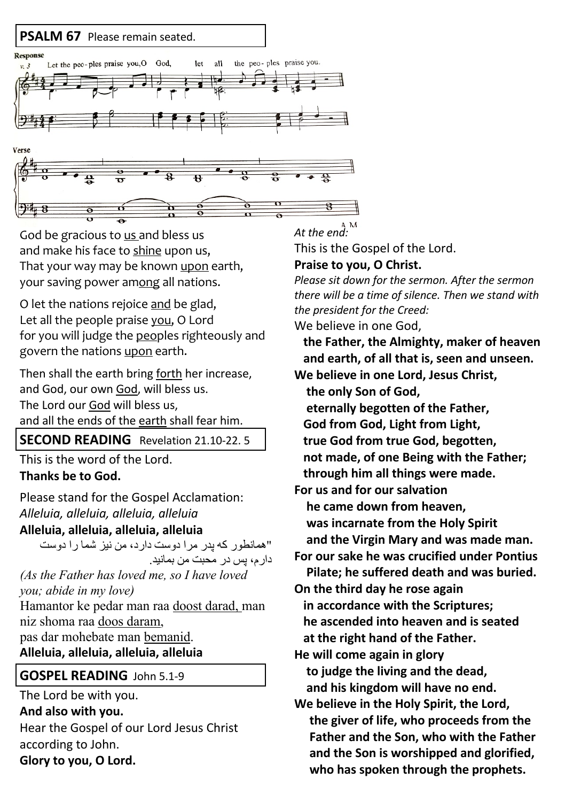

God be gracious to us and bless us and make his face to shine upon us, That your way may be known upon earth, your saving power among all nations.

O let the nations rejoice and be glad, Let all the people praise you, O Lord for you will judge the peoples righteously and govern the nations upon earth.

Then shall the earth bring forth her increase, and God, our own God, will bless us. The Lord our God will bless us, and all the ends of the earth shall fear him.

**SECOND READING** Revelation 21.10-22. 5

This is the word of the Lord. **Thanks be to God.**

Please stand for the Gospel Acclamation: *Alleluia, alleluia, alleluia, alleluia*

#### **Alleluia, alleluia, alleluia, alleluia**

"همانطور كه يدر مرا دوست دارد، من نيز شما را دوست دار م، پس در محبت من بمانید. *(As the Father has loved me, so I have loved* 

*you; abide in my love)*

Hamantor ke pedar man raa doost darad, man niz shoma raa doos daram, pas dar mohebate man bemanid. **Alleluia, alleluia, alleluia, alleluia**

## **GOSPEL READING** John 5.1-9

The Lord be with you. **And also with you.** Hear the Gospel of our Lord Jesus Christ according to John. **Glory to you, O Lord.**

*At the end:*

This is the Gospel of the Lord.

## **Praise to you, O Christ.**

*Please sit down for the sermon. After the sermon there will be a time of silence. Then we stand with the president for the Creed:* 

We believe in one God,

 **the Father, the Almighty, maker of heaven and earth, of all that is, seen and unseen.**

**We believe in one Lord, Jesus Christ, the only Son of God, eternally begotten of the Father, God from God, Light from Light, true God from true God, begotten, not made, of one Being with the Father; through him all things were made. For us and for our salvation he came down from heaven, was incarnate from the Holy Spirit and the Virgin Mary and was made man. For our sake he was crucified under Pontius Pilate; he suffered death and was buried. On the third day he rose again in accordance with the Scriptures; he ascended into heaven and is seated at the right hand of the Father. He will come again in glory to judge the living and the dead, and his kingdom will have no end. We believe in the Holy Spirit, the Lord, the giver of life, who proceeds from the Father and the Son, who with the Father and the Son is worshipped and glorified, who has spoken through the prophets.**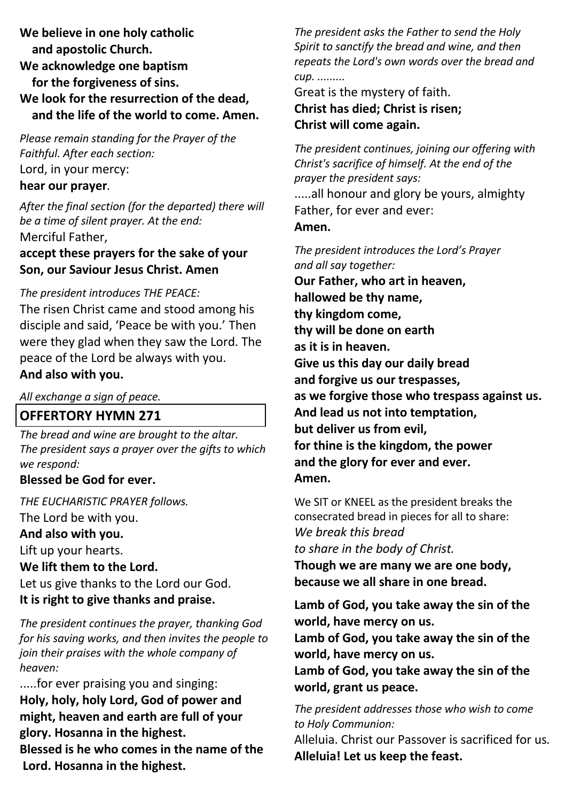**We believe in one holy catholic and apostolic Church. We acknowledge one baptism for the forgiveness of sins. We look for the resurrection of the dead, and the life of the world to come. Amen.**

*Please remain standing for the Prayer of the Faithful. After each section:* Lord, in your mercy: **hear our prayer***.* 

*After the final section (for the departed) there will be a time of silent prayer. At the end:* Merciful Father,

**accept these prayers for the sake of your Son, our Saviour Jesus Christ. Amen**

#### *The president introduces THE PEACE:*

The risen Christ came and stood among his disciple and said, 'Peace be with you.' Then were they glad when they saw the Lord. The peace of the Lord be always with you. **And also with you.**

*All exchange a sign of peace.* 

#### **OFFERTORY HYMN 271**

*The bread and wine are brought to the altar. The president says a prayer over the gifts to which we respond:*

#### **Blessed be God for ever.**

*THE EUCHARISTIC PRAYER follows.* The Lord be with you. **And also with you.** Lift up your hearts. **We lift them to the Lord.**

Let us give thanks to the Lord our God. **It is right to give thanks and praise.**

*The president continues the prayer, thanking God for his saving works, and then invites the people to join their praises with the whole company of heaven:* 

.....for ever praising you and singing: **Holy, holy, holy Lord, God of power and might, heaven and earth are full of your glory. Hosanna in the highest. Blessed is he who comes in the name of the Lord. Hosanna in the highest.**

*The president asks the Father to send the Holy Spirit to sanctify the bread and wine, and then repeats the Lord's own words over the bread and cup. .........*

Great is the mystery of faith.

#### **Christ has died; Christ is risen; Christ will come again.**

*The president continues, joining our offering with Christ's sacrifice of himself. At the end of the prayer the president says:* .....all honour and glory be yours, almighty Father, for ever and ever: **Amen.** *The president introduces the Lord's Prayer and all say together:* **Our Father, who art in heaven,** 

**hallowed be thy name, thy kingdom come,** 

**thy will be done on earth** 

**as it is in heaven.** 

**Give us this day our daily bread** 

**and forgive us our trespasses,** 

**as we forgive those who trespass against us.** 

**And lead us not into temptation,** 

**but deliver us from evil,** 

**for thine is the kingdom, the power and the glory for ever and ever. Amen.** 

We SIT or KNEEL as the president breaks the consecrated bread in pieces for all to share: *We break this bread* 

*to share in the body of Christ.*

**Though we are many we are one body, because we all share in one bread.**

**Lamb of God, you take away the sin of the world, have mercy on us.**

**Lamb of God, you take away the sin of the world, have mercy on us.**

**Lamb of God, you take away the sin of the world, grant us peace.**

*The president addresses those who wish to come to Holy Communion:*

Alleluia. Christ our Passover is sacrificed for us*.*  **Alleluia! Let us keep the feast.**